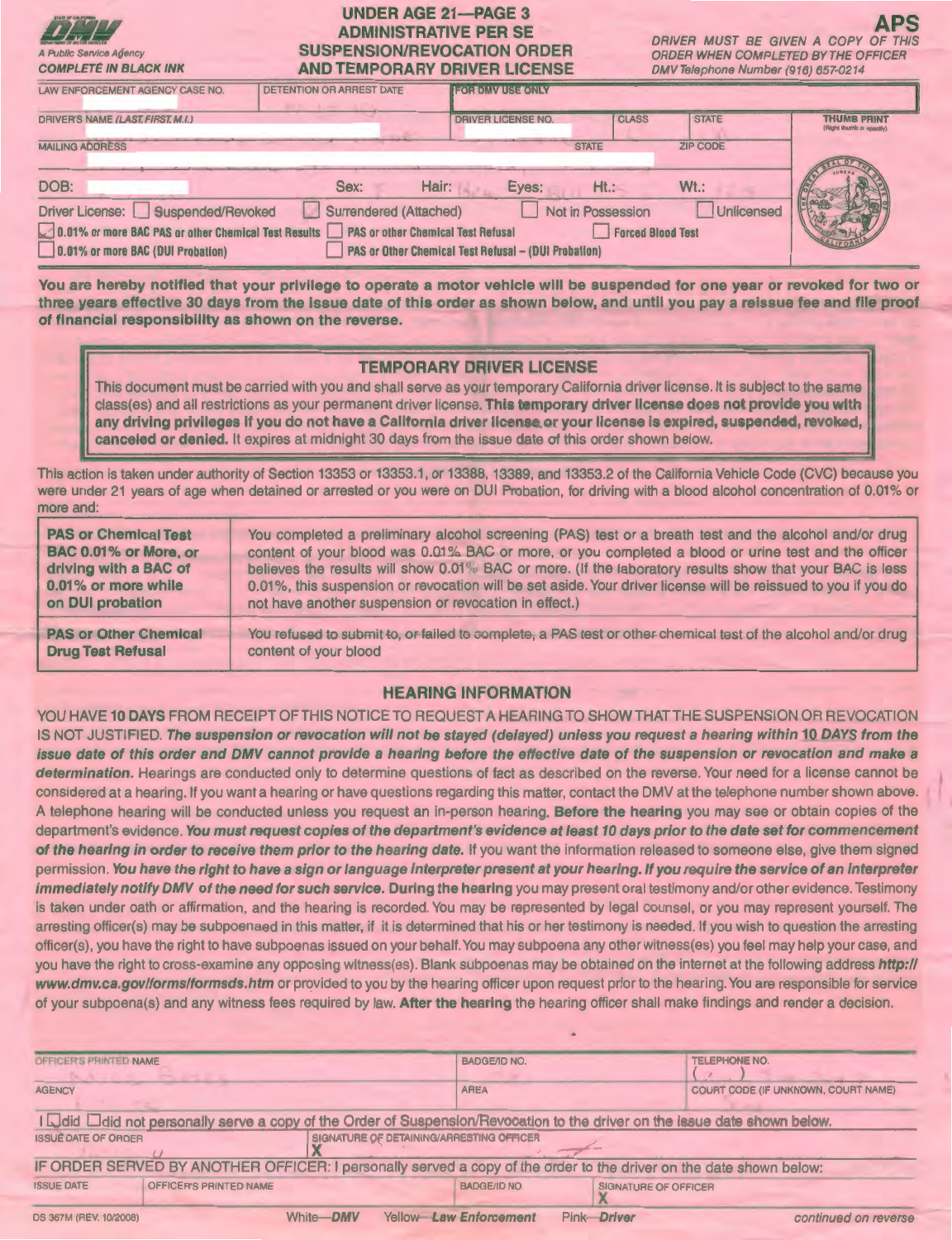# UNDER AGE 21-PAGE 3 ADMINISTRATIVE PER SE SUSPENSION/REVOCATION ORDER AND TEMPORARY DRIVER LICENSE

A Public Service Agency

**APS**<br>DRIVER MUST BE GIVEN A COPY OF THIS ORDER WHEN COMPLETED BY THE OFFICER DMV Telephone Number (916) 657-0214

| <b>COMPLETE IN BLACK INK</b>                                                                                                                                        |                          | <b>AND IEMPORARY DRIVER LICENSE</b>                         |                                        | DMV ISISDRONG NUMDST (910) 657-0214 |                                                |
|---------------------------------------------------------------------------------------------------------------------------------------------------------------------|--------------------------|-------------------------------------------------------------|----------------------------------------|-------------------------------------|------------------------------------------------|
| LAW ENFORCEMENT AGENCY CASE NO.                                                                                                                                     | DETENTION OR ARREST DATE | <b>IEOHIOMVUSEONIV</b>                                      |                                        |                                     |                                                |
| DRIVER'S NAME (LAST, FIRST, M.I.)                                                                                                                                   |                          | <b>DRIVER LICENSE NO.</b>                                   | <b>CLASS</b>                           | <b>STATE</b>                        | <b>THUMB PRINT</b><br>(Right thumb or specify) |
| <b>MAILING ADDRESS</b>                                                                                                                                              |                          |                                                             | <b>STATE</b>                           | <b>ZIP CODE</b>                     |                                                |
| DOB:                                                                                                                                                                | Sex:                     | Hair:<br>Eyes:                                              | $Ht$ .:                                | $Wt$ .:                             |                                                |
| Driver License: Suspended/Revoked<br>0.01% or more BAC PAS or other Chemical Test Results   PAS or other Chemical Test Refusal<br>0.01% or more BAC (DUI Probation) | Surrendered (Attached)   | <b>PAS or Other Chemical Test Refusal - (DUI Probation)</b> | Not in Possession<br>Forced Blood Test | Unlicensed                          |                                                |

You are hereby notified that your privilege to operate a motor vehicle will be suspended for one year or revoked for two or three years effective 30 days from the issue date of this order as shown below, and until you pay a reissue fee and file proof of financial responsibility as shown on the reverse.

### TEMPORARY DRIVER LICENSE

This document must be carried with you and shall serve as your temporary California driver license. It is subject to the same class(es) and all restrictions as your permanent driver license. This temporary driver license does not provide you with any driving privileges if you do not have a California driver license or your license is expired, suspended, revoked, canceled or denied. It expires at midnight 30 days from the issue date of this order shown below.

This action is taken under authority of Section 13353 or 13353.1 , or 13388, 13389, and 13353.2 of the California Vehicle Code (CVC) because you were under 21 years of age when detained or arrested or you were on DUI Probation, for driving with a blood alcohol concentration of 0.01% or more and:

| <b>PAS or Chemical Test</b>  | You completed a preliminary alcohol screening (PAS) test or a breath test and the alcohol and/or drug         |
|------------------------------|---------------------------------------------------------------------------------------------------------------|
| BAC 0.01% or More, or        | content of your blood was 0.01% BAC or more, or you completed a blood or urine test and the officer           |
| driving with a BAC of        | believes the results will show 0.01% BAC or more. (If the laboratory results show that your BAC is less       |
| 0.01% or more while          | 0.01%, this suspension or revocation will be set aside. Your driver license will be reissued to you if you do |
| on DUI probation             | not have another suspension or revocation in effect.)                                                         |
| <b>PAS or Other Chemical</b> | You refused to submit to, or failed to complete, a PAS test or other chemical test of the alcohol and/or drug |
| <b>Drug Test Refusal</b>     | content of your blood                                                                                         |

# HEARING INFORMATION

YOU HAVE 10 DAYS FROM RECEIPT OF THIS NOTICE TO REQUEST A HEARING TO SHOW THAT THE SUSPENSION OR REVOCATION IS NOT JUSTIFIED. The suspension or revocation will not be stayed (delayed) unless you request a hearing within 10 DAYS from the issue date of this order and DMV cannot provide a hearing before the effective date of the suspension or revocation and make a determination. Hearings are conducted only to determine questions of fact as described on the reverse. Your need for a license cannot be considered at a hearing. If you want a hearing or have questions regarding this matter, contact the DMV at the telephone number shown above. A telephone hearing will be conducted unless you request an in-person hearing. Before the hearing you may see or obtain copies of the department's evidence. You must request copies of the department's evidence at least 10 days prior to the date set for commencement of the hearing in order to receive them prior to the hearing date. If you want the information released to someone else, give them signed permission. You have the right to have a sign or language interpreter present at your hearing. If you require the service of an interpreter immediately notify DMV of the need for such service. During the hearing you may present oral testimony and/or other evidence. Testimony is taken under oath or affirmation, and the hearing is recorded. You may be represented by legal counsel, or you may represent yourself. The arresting officer(s) may be subpoenaed in this matter, if it is determined that his or her testimony is needed. If you wish to question the arresting officer(s), you have the right to have subpoenas issued on your behalf. You may subpoena any other witness(es) you feel may help your case, and you have the right to cross-examine any opposing witness(es). Blank subpoenas may be obtained on the internet at the following address http:// www.dmv.ca.gov/forms/formsds.htm or provided to you by the hearing officer upon request prior to the hearing. You are responsible for service of your subpoena(s) and any witness fees required by law. After the hearing the hearing officer shall make findings and render a decision.

| OFFICER'S PRINTED NAME                                                                                                 | <b>BADGE/ID NO.</b>    | <b>TELEPHONE NO.</b>                |  |  |
|------------------------------------------------------------------------------------------------------------------------|------------------------|-------------------------------------|--|--|
| <b>AGENCY</b>                                                                                                          | <b>AREA</b>            | COURT CODE (IF UNKNOWN, COURT NAME) |  |  |
| I I did not personally serve a copy of the Order of Suspension/Revocation to the driver on the issue date shown below. |                        |                                     |  |  |
| SIGNATURE OF DETAINING/ARRESTING OFFICER<br><b>ISSUE DATE OF ORDER</b>                                                 |                        |                                     |  |  |
| IF ORDER SERVED BY ANOTHER OFFICER: I personally served a copy of the order to the driver on the date shown below:     |                        |                                     |  |  |
| OFFICER'S PRINTED NAME<br><b>ISSUE DATE</b>                                                                            | BADGE/ID NO.           | <b>SIGNATURE OF OFFICER</b>         |  |  |
| White-DMV<br>DS 367M (REV. 10/2008)                                                                                    | Yellow Law Enforcement | Pink-Driver<br>continued on reverse |  |  |